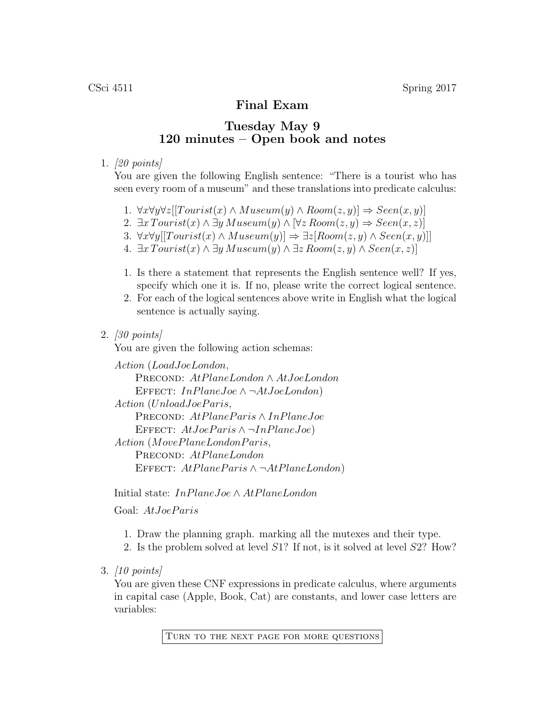## Final Exam

## Tuesday May 9 120 minutes – Open book and notes

## 1. [20 points]

You are given the following English sentence: "There is a tourist who has seen every room of a museum" and these translations into predicate calculus:

- 1.  $\forall x \forall y \forall z [[Tourist(x) \land Museum(y) \land Room(z, y)] \Rightarrow Seen(x, y)]$
- 2.  $\exists x \, Tourism(x) \land \exists y \, Museum(y) \land \forall z \, Room(z, y) \Rightarrow Seen(x, z)$
- 3.  $\forall x \forall y[[Tourist(x) \land Museum(y)] \Rightarrow \exists z[Room(z, y) \land Seen(x, y)]]$
- 4.  $\exists x \, Tourism(x) \land \exists y \, Museum(y) \land \exists z \, Room(z, y) \land Seen(x, z)$
- 1. Is there a statement that represents the English sentence well? If yes, specify which one it is. If no, please write the correct logical sentence.
- 2. For each of the logical sentences above write in English what the logical sentence is actually saying.
- 2. [30 points]

You are given the following action schemas:

Action (LoadJoeLondon, PRECOND: AtPlaneLondon ∧ AtJoeLondon EFFECT:  $InPlaneJoe \wedge \neg AtJoeLondon)$  $Action (UnloadJoe Paris,$ PRECOND: AtPlaneParis ∧ InPlaneJoe EFFECT:  $AtJoe Paris \wedge \neg InPlaneJoe)$  $Action (MovePlane London Paris,$ PRECOND: AtPlaneLondon EFFECT:  $AtPlane Paris \wedge \neg AtPlaneLondon)$ 

Initial state: InPlaneJoe ∧ AtPlaneLondon

Goal: AtJoeParis

- 1. Draw the planning graph. marking all the mutexes and their type.
- 2. Is the problem solved at level S1? If not, is it solved at level S2? How?
- 3. [10 points]

You are given these CNF expressions in predicate calculus, where arguments in capital case (Apple, Book, Cat) are constants, and lower case letters are variables:

Turn to the next page for more questions